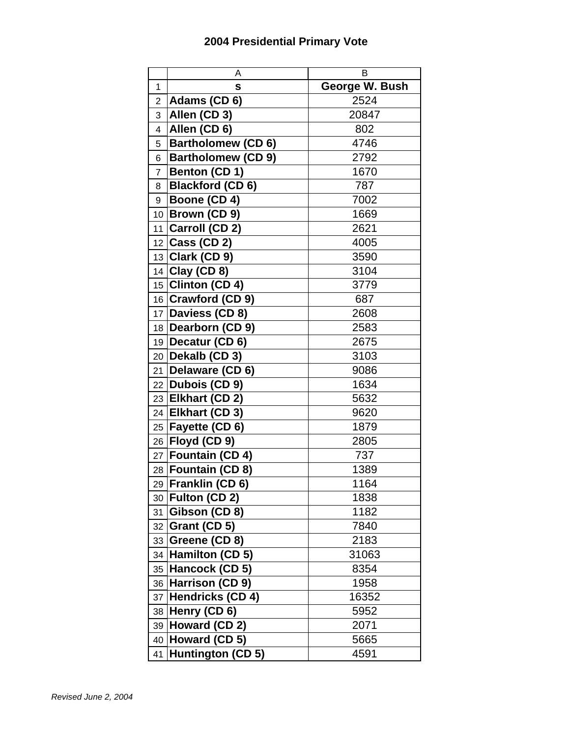## **2004 Presidential Primary Vote**

|                | A                            | В              |
|----------------|------------------------------|----------------|
| 1              | s                            | George W. Bush |
| $\overline{2}$ | Adams (CD 6)                 | 2524           |
| 3              | Allen (CD 3)                 | 20847          |
| 4              | Allen (CD 6)                 | 802            |
| 5              | <b>Bartholomew (CD 6)</b>    | 4746           |
| 6              | <b>Bartholomew (CD 9)</b>    | 2792           |
| $\overline{7}$ | Benton (CD 1)                | 1670           |
| 8              | <b>Blackford (CD6)</b>       | 787            |
| 9              | Boone (CD 4)                 | 7002           |
| 10             | Brown (CD 9)                 | 1669           |
| 11             | Carroll (CD 2)               | 2621           |
|                | 12 Cass (CD 2)               | 4005           |
|                | $\overline{13}$ Clark (CD 9) | 3590           |
| 14             | Clay (CD 8)                  | 3104           |
|                | 15 Clinton (CD 4)            | 3779           |
|                | 16 Crawford (CD 9)           | 687            |
|                | 17 Daviess (CD 8)            | 2608           |
|                | 18 Dearborn (CD 9)           | 2583           |
|                | 19 Decatur (CD $6$ )         | 2675           |
| 20             | Dekalb (CD 3)                | 3103           |
| 21             | Delaware (CD 6)              | 9086           |
|                | 22 Dubois (CD 9)             | 1634           |
|                | 23 Elkhart (CD 2)            | 5632           |
| 24             | <b>Elkhart (CD 3)</b>        | 9620           |
| 25             | <b>Fayette (CD 6)</b>        | 1879           |
|                | 26 Floyd (CD 9)              | 2805           |
|                | 27 Fountain (CD 4)           | 737            |
| 28             | Fountain (CD 8)              | 1389           |
|                | 29 Franklin (CD 6)           | 1164           |
| 30             | Fulton (CD 2)                | 1838           |
| 31             | Gibson (CD 8)                | 1182           |
| 32             | Grant (CD 5)                 | 7840           |
| 33             | Greene (CD 8)                | 2183           |
| 34             | Hamilton (CD 5)              | 31063          |
| 35             | Hancock (CD 5)               | 8354           |
| 36             | Harrison (CD 9)              | 1958           |
| 37             | Hendricks (CD 4)             | 16352          |
| 38             | Henry (CD 6)                 | 5952           |
| 39             | Howard (CD 2)                | 2071           |
| 40             | Howard (CD 5)                | 5665           |
| 41             | Huntington (CD 5)            | 4591           |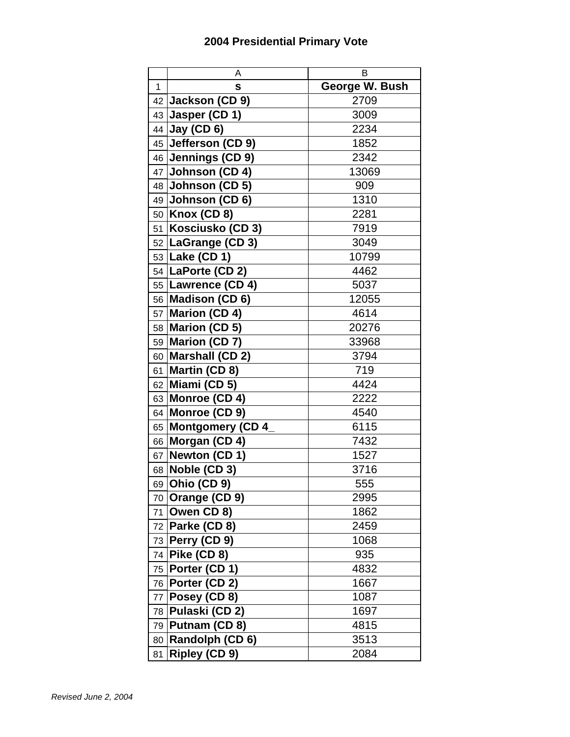## **2004 Presidential Primary Vote**

|      | A                             | в              |
|------|-------------------------------|----------------|
| 1    | S                             | George W. Bush |
| 42 I | Jackson (CD 9)                | 2709           |
| 43   | Jasper (CD 1)                 | 3009           |
|      | 44 Jay (CD 6)                 | 2234           |
|      | 45 Jefferson (CD 9)           | 1852           |
|      | 46 Jennings (CD 9)            | 2342           |
|      | $47$ Johnson (CD 4)           | 13069          |
|      | 48 <b>Johnson (CD 5)</b>      | 909            |
|      | 49 Johnson (CD $6$ )          | 1310           |
|      | 50   Knox (CD 8)              | 2281           |
| 51   | Kosciusko (CD 3)              | 7919           |
|      | 52 LaGrange (CD 3)            | 3049           |
|      | $\overline{53}$ Lake (CD 1)   | 10799          |
|      | 54   LaPorte (CD 2)           | 4462           |
|      | 55   Lawrence (CD 4)          | 5037           |
|      | 56 Madison (CD 6)             | 12055          |
|      | 57 Marion (CD 4)              | 4614           |
|      | 58 Marion (CD 5)              | 20276          |
|      | 59 Marion (CD 7)              | 33968          |
|      | 60 Marshall (CD 2)            | 3794           |
| 61   | Martin (CD 8)                 | 719            |
| 62   | Miami (CD 5)                  | 4424           |
|      | 63 Monroe (CD 4)              | 2222           |
|      | 64 Monroe (CD 9)              | 4540           |
| 65   | Montgomery (CD 4              | 6115           |
|      | 66 Morgan (CD 4)              | 7432           |
|      | 67 Newton (CD 1)              | 1527           |
| 68   | Noble (CD 3)                  | 3716           |
|      | 69 <b>Ohio (CD 9)</b>         | 555            |
|      | 70 Orange (CD 9)              | 2995           |
|      | 71 Owen CD 8)                 | 1862           |
|      | 72 Parke (CD 8)               | 2459           |
|      | 73 Perry (CD 9)               | 1068           |
| 74   | Pike (CD 8)                   | 935            |
|      | $\overline{75}$ Porter (CD 1) | 4832           |
|      | 76   Porter (CD 2)            | 1667           |
| 77   | Posey (CD 8)                  | 1087           |
|      | 78 Pulaski (CD 2)             | 1697           |
|      | 79 Putnam (CD 8)              | 4815           |
| 80   | Randolph (CD 6)               | 3513           |
| 81   | <b>Ripley (CD 9)</b>          | 2084           |